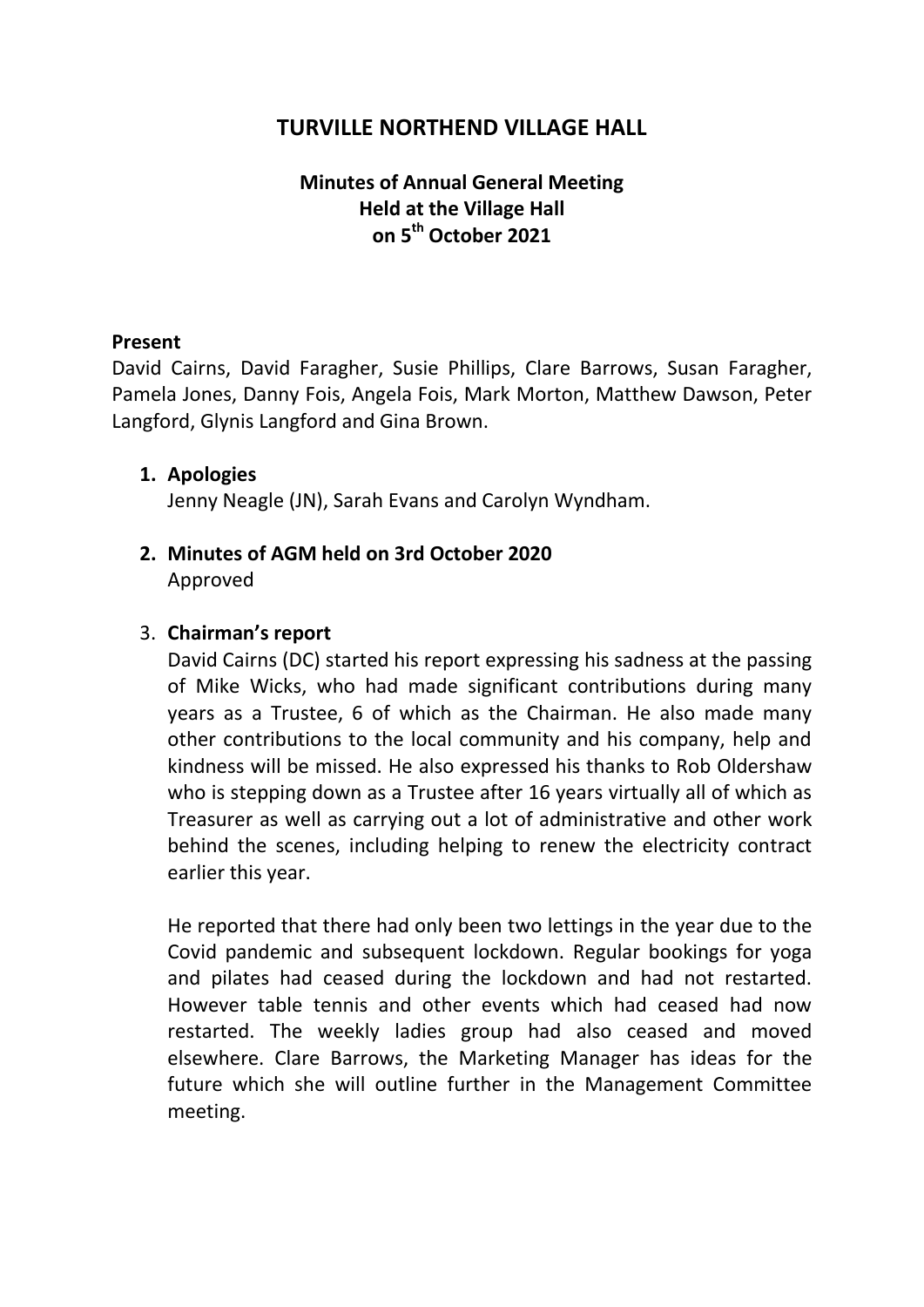## **TURVILLE NORTHEND VILLAGE HALL**

### **Minutes of Annual General Meeting Held at the Village Hall on 5th October 2021**

### **Present**

David Cairns, David Faragher, Susie Phillips, Clare Barrows, Susan Faragher, Pamela Jones, Danny Fois, Angela Fois, Mark Morton, Matthew Dawson, Peter Langford, Glynis Langford and Gina Brown.

#### **1. Apologies**

Jenny Neagle (JN), Sarah Evans and Carolyn Wyndham.

### **2. Minutes of AGM held on 3rd October 2020** Approved

### 3. **Chairman's report**

David Cairns (DC) started his report expressing his sadness at the passing of Mike Wicks, who had made significant contributions during many years as a Trustee, 6 of which as the Chairman. He also made many other contributions to the local community and his company, help and kindness will be missed. He also expressed his thanks to Rob Oldershaw who is stepping down as a Trustee after 16 years virtually all of which as Treasurer as well as carrying out a lot of administrative and other work behind the scenes, including helping to renew the electricity contract earlier this year.

He reported that there had only been two lettings in the year due to the Covid pandemic and subsequent lockdown. Regular bookings for yoga and pilates had ceased during the lockdown and had not restarted. However table tennis and other events which had ceased had now restarted. The weekly ladies group had also ceased and moved elsewhere. Clare Barrows, the Marketing Manager has ideas for the future which she will outline further in the Management Committee meeting.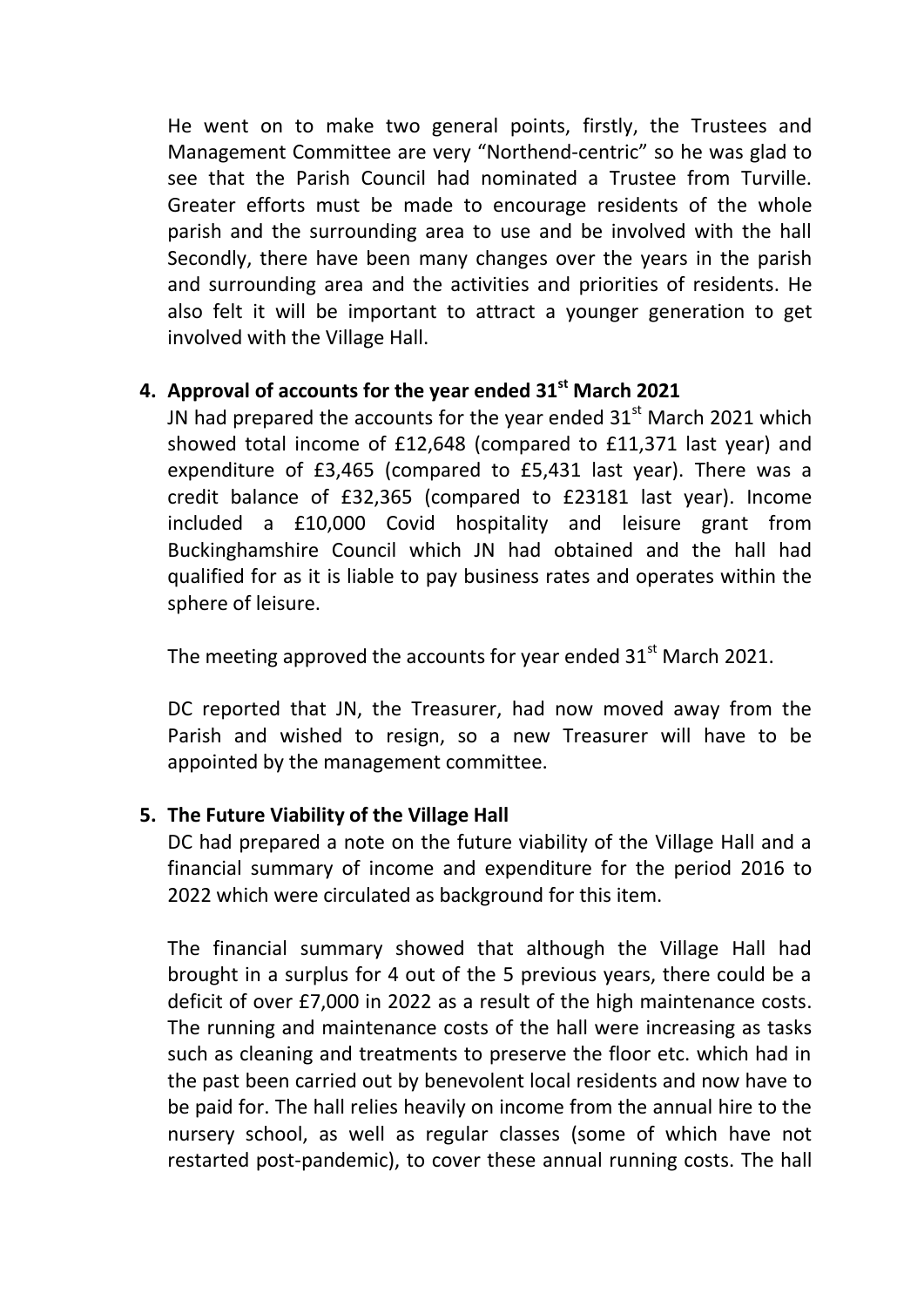He went on to make two general points, firstly, the Trustees and Management Committee are very "Northend-centric" so he was glad to see that the Parish Council had nominated a Trustee from Turville. Greater efforts must be made to encourage residents of the whole parish and the surrounding area to use and be involved with the hall Secondly, there have been many changes over the years in the parish and surrounding area and the activities and priorities of residents. He also felt it will be important to attract a younger generation to get involved with the Village Hall.

# **4. Approval of accounts for the year ended 31st March 2021**

JN had prepared the accounts for the year ended  $31<sup>st</sup>$  March 2021 which showed total income of £12,648 (compared to £11,371 last year) and expenditure of £3,465 (compared to £5,431 last year). There was a credit balance of £32,365 (compared to £23181 last year). Income included a £10,000 Covid hospitality and leisure grant from Buckinghamshire Council which JN had obtained and the hall had qualified for as it is liable to pay business rates and operates within the sphere of leisure.

The meeting approved the accounts for year ended  $31<sup>st</sup>$  March 2021.

DC reported that JN, the Treasurer, had now moved away from the Parish and wished to resign, so a new Treasurer will have to be appointed by the management committee.

### **5. The Future Viability of the Village Hall**

DC had prepared a note on the future viability of the Village Hall and a financial summary of income and expenditure for the period 2016 to 2022 which were circulated as background for this item.

The financial summary showed that although the Village Hall had brought in a surplus for 4 out of the 5 previous years, there could be a deficit of over £7,000 in 2022 as a result of the high maintenance costs. The running and maintenance costs of the hall were increasing as tasks such as cleaning and treatments to preserve the floor etc. which had in the past been carried out by benevolent local residents and now have to be paid for. The hall relies heavily on income from the annual hire to the nursery school, as well as regular classes (some of which have not restarted post-pandemic), to cover these annual running costs. The hall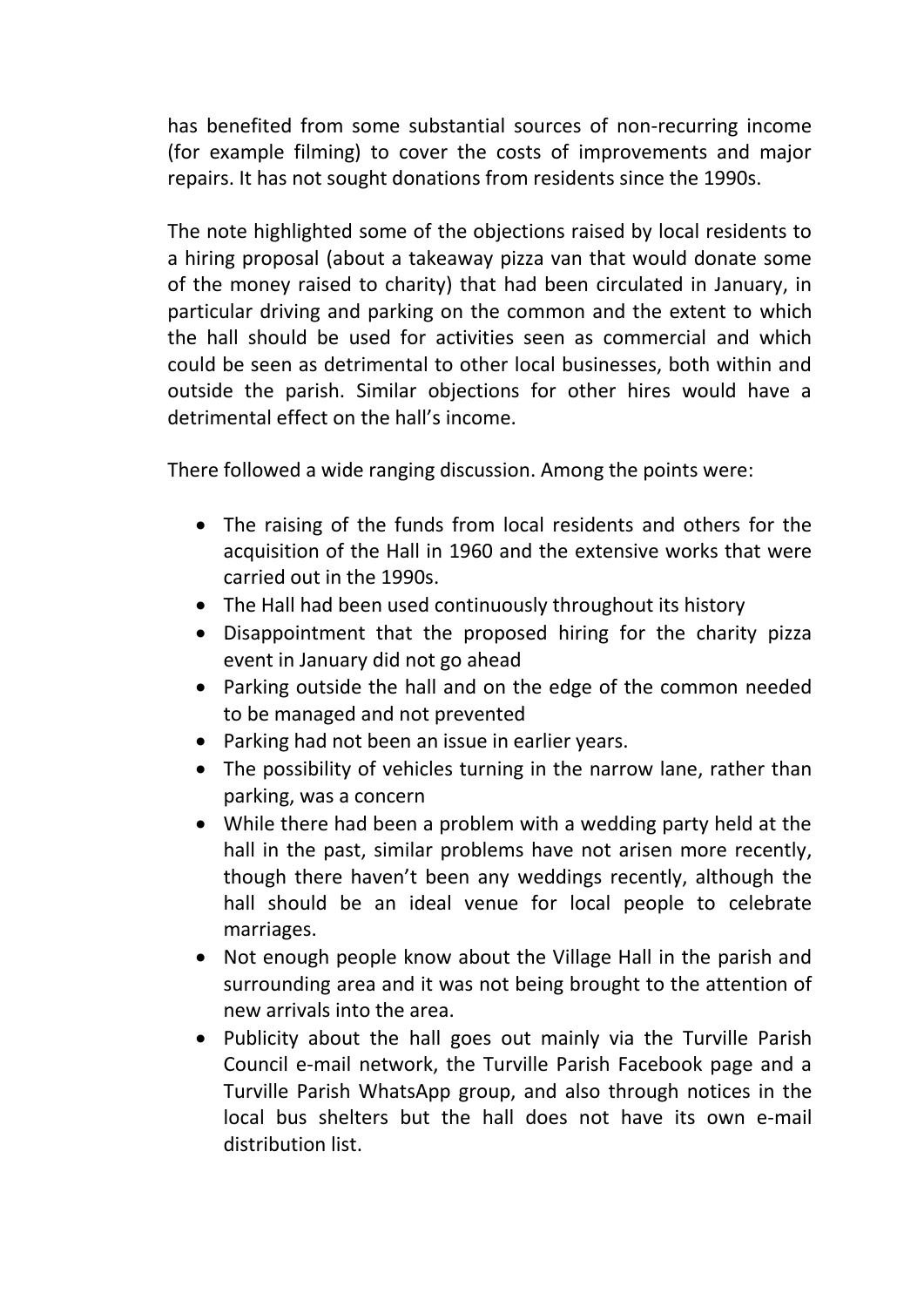has benefited from some substantial sources of non-recurring income (for example filming) to cover the costs of improvements and major repairs. It has not sought donations from residents since the 1990s.

The note highlighted some of the objections raised by local residents to a hiring proposal (about a takeaway pizza van that would donate some of the money raised to charity) that had been circulated in January, in particular driving and parking on the common and the extent to which the hall should be used for activities seen as commercial and which could be seen as detrimental to other local businesses, both within and outside the parish. Similar objections for other hires would have a detrimental effect on the hall's income.

There followed a wide ranging discussion. Among the points were:

- The raising of the funds from local residents and others for the acquisition of the Hall in 1960 and the extensive works that were carried out in the 1990s.
- The Hall had been used continuously throughout its history
- Disappointment that the proposed hiring for the charity pizza event in January did not go ahead
- Parking outside the hall and on the edge of the common needed to be managed and not prevented
- Parking had not been an issue in earlier years.
- The possibility of vehicles turning in the narrow lane, rather than parking, was a concern
- While there had been a problem with a wedding party held at the hall in the past, similar problems have not arisen more recently, though there haven't been any weddings recently, although the hall should be an ideal venue for local people to celebrate marriages.
- Not enough people know about the Village Hall in the parish and surrounding area and it was not being brought to the attention of new arrivals into the area.
- Publicity about the hall goes out mainly via the Turville Parish Council e-mail network, the Turville Parish Facebook page and a Turville Parish WhatsApp group, and also through notices in the local bus shelters but the hall does not have its own e-mail distribution list.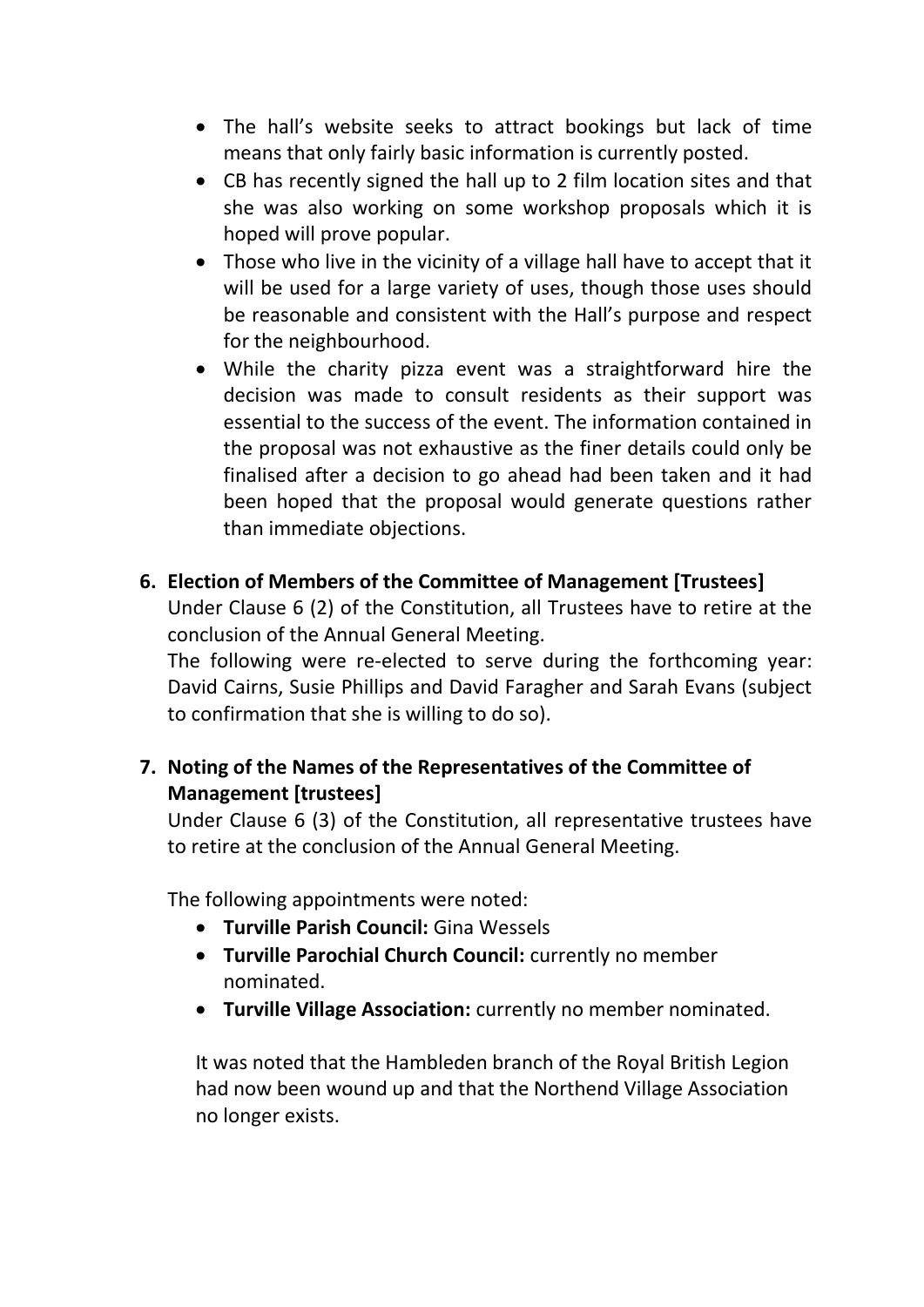- The hall's website seeks to attract bookings but lack of time means that only fairly basic information is currently posted.
- CB has recently signed the hall up to 2 film location sites and that she was also working on some workshop proposals which it is hoped will prove popular.
- Those who live in the vicinity of a village hall have to accept that it will be used for a large variety of uses, though those uses should be reasonable and consistent with the Hall's purpose and respect for the neighbourhood.
- While the charity pizza event was a straightforward hire the decision was made to consult residents as their support was essential to the success of the event. The information contained in the proposal was not exhaustive as the finer details could only be finalised after a decision to go ahead had been taken and it had been hoped that the proposal would generate questions rather than immediate objections.

### **6. Election of Members of the Committee of Management [Trustees]**

Under Clause 6 (2) of the Constitution, all Trustees have to retire at the conclusion of the Annual General Meeting.

The following were re-elected to serve during the forthcoming year: David Cairns, Susie Phillips and David Faragher and Sarah Evans (subject to confirmation that she is willing to do so).

# **7. Noting of the Names of the Representatives of the Committee of Management [trustees]**

Under Clause 6 (3) of the Constitution, all representative trustees have to retire at the conclusion of the Annual General Meeting.

The following appointments were noted:

- **Turville Parish Council:** Gina Wessels
- **Turville Parochial Church Council:** currently no member nominated.
- **Turville Village Association:** currently no member nominated.

It was noted that the Hambleden branch of the Royal British Legion had now been wound up and that the Northend Village Association no longer exists.